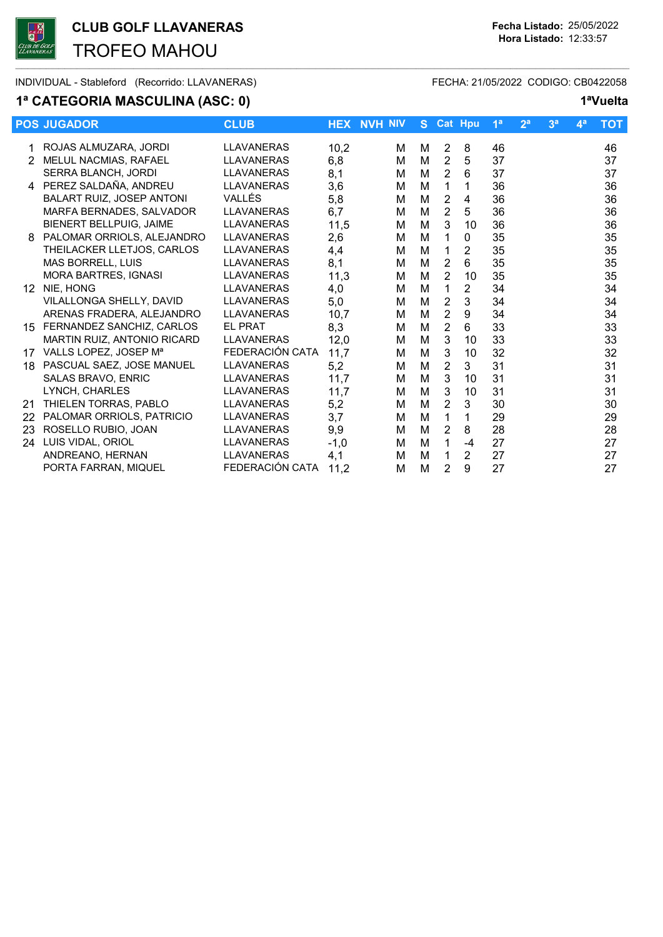

CLUB GOLF LLAVANERAS Fecha Listado: 25/05/2022 TROFEO MAHOU

INDIVIDUAL - Stableford (Recorrido: LLAVANERAS) FECHA: 21/05/2022 CODIGO: CB0422058

### 1ª CATEGORIA MASCULINA (ASC: 0) 1<sup>a</sup>Vuelta

|                  | <b>POS JUGADOR</b>                 | <b>CLUB</b>       |        | <b>HEX NVH NIV</b> | S. |                | <b>Cat Hpu</b> | 1 <sup>a</sup> | 2 <sup>a</sup> | 3 <sup>a</sup> | $\mathbf{4}^{\mathsf{a}}$ | <b>TOT</b> |
|------------------|------------------------------------|-------------------|--------|--------------------|----|----------------|----------------|----------------|----------------|----------------|---------------------------|------------|
|                  |                                    | <b>LLAVANERAS</b> |        |                    |    |                |                |                |                |                |                           |            |
|                  | 1 ROJAS ALMUZARA, JORDI            |                   | 10,2   | м                  | м  | $\overline{2}$ | 8              | 46             |                |                |                           | 46         |
| $\mathcal{P}$    | MELUL NACMIAS, RAFAEL              | <b>LLAVANERAS</b> | 6,8    | м                  | м  | $\overline{2}$ | 5              | 37             |                |                |                           | 37         |
|                  | <b>SERRA BLANCH. JORDI</b>         | <b>LLAVANERAS</b> | 8,1    | м                  | M  | $\overline{2}$ | 6              | 37             |                |                |                           | 37         |
|                  | 4 PEREZ SALDAÑA, ANDREU            | <b>LLAVANERAS</b> | 3,6    | м                  | M  | $\mathbf 1$    | 1              | 36             |                |                |                           | 36         |
|                  | <b>BALART RUIZ. JOSEP ANTONI</b>   | VALLÉS            | 5,8    | М                  | M  | $\overline{2}$ | 4              | 36             |                |                |                           | 36         |
|                  | MARFA BERNADES, SALVADOR           | <b>LLAVANERAS</b> | 6,7    | М                  | M  | $\overline{2}$ | 5              | 36             |                |                |                           | 36         |
|                  | <b>BIENERT BELLPUIG. JAIME</b>     | <b>LLAVANERAS</b> | 11,5   | м                  | M  | 3              | 10             | 36             |                |                |                           | 36         |
| 8                | PALOMAR ORRIOLS, ALEJANDRO         | <b>LLAVANERAS</b> | 2,6    | М                  | M  | 1              | 0              | 35             |                |                |                           | 35         |
|                  | THEILACKER LLETJOS, CARLOS         | <b>LLAVANERAS</b> | 4,4    | Μ                  | M  | 1              | 2              | 35             |                |                |                           | 35         |
|                  | <b>MAS BORRELL, LUIS</b>           | <b>LLAVANERAS</b> | 8,1    | М                  | M  | $\overline{2}$ | 6              | 35             |                |                |                           | 35         |
|                  | MORA BARTRES, IGNASI               | <b>LLAVANERAS</b> | 11,3   | Μ                  | M  | $\overline{2}$ | 10             | 35             |                |                |                           | 35         |
| 12 <sup>12</sup> | NIE, HONG                          | <b>LLAVANERAS</b> | 4,0    | М                  | M  | 1              | $\overline{2}$ | 34             |                |                |                           | 34         |
|                  | VILALLONGA SHELLY, DAVID           | <b>LLAVANERAS</b> | 5,0    | М                  | M  | 2              | 3              | 34             |                |                |                           | 34         |
|                  | ARENAS FRADERA, ALEJANDRO          | <b>LLAVANERAS</b> | 10,7   | М                  | M  | $\overline{2}$ | 9              | 34             |                |                |                           | 34         |
| 15               | FERNANDEZ SANCHIZ, CARLOS          | <b>EL PRAT</b>    | 8,3    | Μ                  | M  | $\overline{2}$ | 6              | 33             |                |                |                           | 33         |
|                  | <b>MARTIN RUIZ, ANTONIO RICARD</b> | <b>LLAVANERAS</b> | 12,0   | М                  | M  | 3              | 10             | 33             |                |                |                           | 33         |
|                  | 17 VALLS LOPEZ, JOSEP Ma           | FEDERACIÓN CATA   | 11,7   | М                  | M  | 3              | 10             | 32             |                |                |                           | 32         |
| 18               | PASCUAL SAEZ, JOSE MANUEL          | <b>LLAVANERAS</b> | 5,2    | М                  | M  | 2              | 3              | 31             |                |                |                           | 31         |
|                  | <b>SALAS BRAVO, ENRIC</b>          | <b>LLAVANERAS</b> | 11,7   | М                  | M  | 3              | 10             | 31             |                |                |                           | 31         |
|                  | LYNCH. CHARLES                     | <b>LLAVANERAS</b> | 11,7   | М                  | M  | 3              | 10             | 31             |                |                |                           | 31         |
| 21               | THIELEN TORRAS, PABLO              | <b>LLAVANERAS</b> | 5,2    | М                  | M  | 2              | 3              | 30             |                |                |                           | 30         |
| 22               | PALOMAR ORRIOLS, PATRICIO          | <b>LLAVANERAS</b> | 3,7    | М                  | M  | $\mathbf{1}$   | 1              | 29             |                |                |                           | 29         |
| 23               | ROSELLO RUBIO, JOAN                | <b>LLAVANERAS</b> | 9,9    | м                  | M  | 2              | 8              | 28             |                |                |                           | 28         |
| 24               | LUIS VIDAL, ORIOL                  | <b>LLAVANERAS</b> | $-1,0$ | М                  | M  | 1              | $-4$           | 27             |                |                |                           | 27         |
|                  | ANDREANO, HERNAN                   | <b>LLAVANERAS</b> | 4,1    | М                  | M  | 1              | $\overline{2}$ | 27             |                |                |                           | 27         |
|                  | PORTA FARRAN, MIQUEL               | FEDERACIÓN CATA   | 11,2   | М                  | M  | $\overline{2}$ | 9              | 27             |                |                |                           | 27         |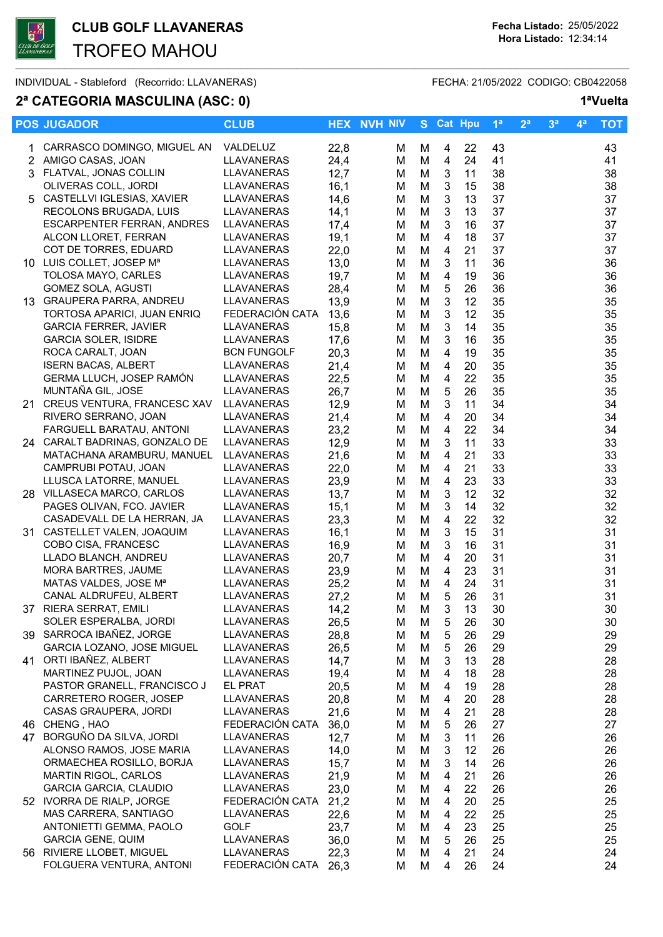$\overline{\phantom{a}}$  , and the set of the set of the set of the set of the set of the set of the set of the set of the set of the set of the set of the set of the set of the set of the set of the set of the set of the set of the s

TROFEO MAHOU

INDIVIDUAL - Stableford (Recorrido: LLAVANERAS) FECHA: 21/05/2022 CODIGO: CB0422058

### 2ª CATEGORIA MASCULINA (ASC: 0) 1<sup>a</sup>Vuelta

| CARRASCO DOMINGO, MIGUEL AN<br>VALDELUZ<br>22,8<br>43<br>43<br>М<br>4<br>22<br>1.<br>м<br>2 AMIGO CASAS, JOAN<br>LLAVANERAS<br>24,4<br>M<br>4<br>24<br>41<br>41<br>М<br>3 FLATVAL, JONAS COLLIN<br>12,7<br>LLAVANERAS<br>M<br>3<br>11<br>38<br>38<br>М<br>OLIVERAS COLL, JORDI<br>16,1<br>38<br>LLAVANERAS<br>3<br>38<br>М<br>M<br>15<br>5 CASTELLVI IGLESIAS, XAVIER<br>3<br>37<br><b>LLAVANERAS</b><br>14,6<br>M<br>13<br>37<br>M<br>RECOLONS BRUGADA, LUIS<br>LLAVANERAS<br>3<br>37<br>14,1<br>M<br>13<br>37<br>M<br>3<br>16<br>37<br>37<br><b>ESCARPENTER FERRAN, ANDRES</b><br>LLAVANERAS<br>17,4<br>M<br>м<br>ALCON LLORET, FERRAN<br>$\overline{4}$<br>18<br>37<br>LLAVANERAS<br>19,1<br>M<br>37<br>M<br>$\overline{4}$<br>COT DE TORRES, EDUARD<br>22,0<br>21<br>37<br>37<br>LLAVANERAS<br>M<br>M<br>10 LUIS COLLET, JOSEP Ma<br>36<br>LLAVANERAS<br>13,0<br>3<br>11<br>36<br>M<br>M<br>TOLOSA MAYO, CARLES<br>19,7<br>$\overline{4}$<br>36<br>36<br>LLAVANERAS<br>M<br>19<br>M<br>$\mathbf 5$<br><b>GOMEZ SOLA, AGUSTI</b><br>28,4<br>M<br>26<br>36<br>36<br>LLAVANERAS<br>M<br>$\mathbf{3}$<br>13 GRAUPERA PARRA, ANDREU<br>LLAVANERAS<br>13,9<br>12<br>35<br>35<br>M<br>м<br>FEDERACIÓN CATA<br>13,6<br>3<br>12<br>35<br>TORTOSA APARICI, JUAN ENRIQ<br>M<br>35<br>M<br><b>GARCIA FERRER, JAVIER</b><br><b>LLAVANERAS</b><br>15,8<br>M<br>3<br>14<br>35<br>35<br>M<br><b>GARCIA SOLER, ISIDRE</b><br>17,6<br>3<br>35<br>LLAVANERAS<br>M<br>35<br>M<br>16<br>ROCA CARALT, JOAN<br><b>BCN FUNGOLF</b><br>20,3<br>35<br>M<br>4<br>19<br>35<br>м<br><b>ISERN BACAS, ALBERT</b><br>35<br><b>LLAVANERAS</b><br>21,4<br>M<br>20<br>35<br>м<br>4<br>22<br>35<br>GERMA LLUCH, JOSEP RAMÓN<br>22,5<br>M<br>35<br>LLAVANERAS<br>4<br>м<br>MUNTAÑA GIL, JOSE<br>26,7<br>26<br>35<br>35<br>LLAVANERAS<br>M<br>5<br>м<br>21 CREUS VENTURA, FRANCESC XAV<br>LLAVANERAS<br>12,9<br>3<br>11<br>34<br>34<br>M<br>M<br>34<br>RIVERO SERRANO, JOAN<br>21,4<br>$\overline{\mathbf{4}}$<br>20<br>34<br><b>LLAVANERAS</b><br>M<br>M<br>FARGUELL BARATAU, ANTONI<br>23,2<br>$\overline{\mathbf{4}}$<br>22<br>34<br>34<br>LLAVANERAS<br>M<br>M<br>$\mathbf{3}$<br>33<br>24 CARALT BADRINAS, GONZALO DE<br>12,9<br>M<br>11<br>33<br><b>LLAVANERAS</b><br>M<br>MATACHANA ARAMBURU, MANUEL<br>LLAVANERAS<br>21,6<br>M<br>$\overline{4}$<br>21<br>33<br>33<br>M<br>22,0<br>21<br>33<br>33<br>CAMPRUBI POTAU, JOAN<br>LLAVANERAS<br>M<br>4<br>м<br>LLUSCA LATORRE, MANUEL<br>23,9<br>23<br>33<br><b>LLAVANERAS</b><br>M<br>$\overline{4}$<br>33<br>M<br>28 VILLASECA MARCO, CARLOS<br>32<br>LLAVANERAS<br>13,7<br>M<br>3<br>12<br>32<br>М<br>$\mathbf{3}$<br>32<br>PAGES OLIVAN, FCO. JAVIER<br>LLAVANERAS<br>15,1<br>M<br>14<br>32<br>м<br>32<br>CASADEVALL DE LA HERRAN, JA<br>LLAVANERAS<br>23,3<br>M<br>$\overline{4}$<br>22<br>32<br>M<br>31 CASTELLET VALEN, JOAQUIM<br>16,1<br>M<br>$\mathbf{3}$<br>15<br>31<br>31<br><b>LLAVANERAS</b><br>м<br>COBO CISA, FRANCESC<br>LLAVANERAS<br>16,9<br>31<br>31<br>M<br>3<br>16<br>м<br>LLADO BLANCH, ANDREU<br>$\overline{4}$<br>31<br>31<br>LLAVANERAS<br>20,7<br>M<br>20<br>М<br>MORA BARTRES, JAUME<br>23,9<br>$\overline{4}$<br>23<br>31<br>31<br>LLAVANERAS<br>M<br>М<br>31<br>MATAS VALDES, JOSE Mª<br>25,2<br>$\overline{4}$<br>24<br>31<br><b>LLAVANERAS</b><br>M<br>М<br>5<br>26<br>31<br>CANAL ALDRUFEU, ALBERT<br>LLAVANERAS<br>27,2<br>M<br>31<br>M<br>30<br>37 RIERA SERRAT, EMILI<br>LLAVANERAS<br>14,2<br>M<br>M<br>$\mathfrak{S}$<br>13<br>30<br>SOLER ESPERALBA, JORDI<br><b>LLAVANERAS</b><br>26,5<br>30<br>M<br>5<br>26<br>30<br>м<br>39 SARROCA IBAÑEZ, JORGE<br>LLAVANERAS<br>28,8<br>M<br>26<br>29<br>29<br>М<br>5<br>GARCIA LOZANO, JOSE MIGUEL<br>LLAVANERAS<br>26,5<br>5<br>26<br>29<br>29<br>M<br>м<br>ORTI IBAÑEZ, ALBERT<br>LLAVANERAS<br>14,7<br>M<br>3<br>13<br>28<br>28<br>41<br>м<br>MARTINEZ PUJOL, JOAN<br>LLAVANERAS<br>19,4<br>M<br>18<br>28<br>28<br>м<br>4<br>PASTOR GRANELL, FRANCISCO J<br>EL PRAT<br>20,5<br>M<br>28<br>28<br>4<br>19<br>м<br>CARRETERO ROGER, JOSEP<br>LLAVANERAS<br>20,8<br>M<br>20<br>28<br>28<br>м<br>4<br>28<br>CASAS GRAUPERA, JORDI<br><b>LLAVANERAS</b><br>21,6<br>M<br>21<br>28<br>4<br>м<br>46 CHENG, HAO<br>FEDERACIÓN CATA<br>36,0<br>M<br>5<br>26<br>27<br>27<br>м<br>47 BORGUÑO DA SILVA, JORDI<br><b>LLAVANERAS</b><br>26<br>12,7<br>3<br>11<br>26<br>M<br>М<br>ALONSO RAMOS, JOSE MARIA<br>$\mathbf{3}$<br>LLAVANERAS<br>14,0<br>12<br>26<br>26<br>M<br>м<br>ORMAECHEA ROSILLO, BORJA<br>LLAVANERAS<br>15,7<br>3<br>14<br>26<br>26<br>M<br>М<br>MARTIN RIGOL, CARLOS<br>21,9<br>21<br>26<br><b>LLAVANERAS</b><br>M<br>4<br>26<br>Μ<br><b>GARCIA GARCIA, CLAUDIO</b><br>LLAVANERAS<br>23,0<br>22<br>M<br>26<br>26<br>М<br>4<br>52 IVORRA DE RIALP, JORGE<br>FEDERACIÓN CATA<br>21,2<br>M<br>20<br>25<br>25<br>4<br>м<br>MAS CARRERA, SANTIAGO<br>LLAVANERAS<br>22,6<br>M<br>22<br>25<br>4<br>25<br>м<br>ANTONIETTI GEMMA, PAOLO<br>GOLF<br>23,7<br>23<br>25<br>M<br>25<br>м<br>4<br><b>GARCIA GENE, QUIM</b><br>LLAVANERAS<br>36,0<br>M<br>26<br>25<br>25<br>м<br>5<br>56 RIVIERE LLOBET, MIGUEL<br>LLAVANERAS<br>22,3<br>M<br>4<br>21<br>24<br>24<br>м<br>FEDERACIÓN CATA<br>FOLGUERA VENTURA, ANTONI<br>26,3<br>26<br>24<br>M<br>24<br>М<br>4 | <b>POS JUGADOR</b> | <b>CLUB</b> | <b>HEX NVH NIV</b> | S Cat Hpu | 1 <sup>a</sup> | 2 <sup>a</sup> | 3 <sup>a</sup> | $4^a$ | <b>TOT</b> |
|----------------------------------------------------------------------------------------------------------------------------------------------------------------------------------------------------------------------------------------------------------------------------------------------------------------------------------------------------------------------------------------------------------------------------------------------------------------------------------------------------------------------------------------------------------------------------------------------------------------------------------------------------------------------------------------------------------------------------------------------------------------------------------------------------------------------------------------------------------------------------------------------------------------------------------------------------------------------------------------------------------------------------------------------------------------------------------------------------------------------------------------------------------------------------------------------------------------------------------------------------------------------------------------------------------------------------------------------------------------------------------------------------------------------------------------------------------------------------------------------------------------------------------------------------------------------------------------------------------------------------------------------------------------------------------------------------------------------------------------------------------------------------------------------------------------------------------------------------------------------------------------------------------------------------------------------------------------------------------------------------------------------------------------------------------------------------------------------------------------------------------------------------------------------------------------------------------------------------------------------------------------------------------------------------------------------------------------------------------------------------------------------------------------------------------------------------------------------------------------------------------------------------------------------------------------------------------------------------------------------------------------------------------------------------------------------------------------------------------------------------------------------------------------------------------------------------------------------------------------------------------------------------------------------------------------------------------------------------------------------------------------------------------------------------------------------------------------------------------------------------------------------------------------------------------------------------------------------------------------------------------------------------------------------------------------------------------------------------------------------------------------------------------------------------------------------------------------------------------------------------------------------------------------------------------------------------------------------------------------------------------------------------------------------------------------------------------------------------------------------------------------------------------------------------------------------------------------------------------------------------------------------------------------------------------------------------------------------------------------------------------------------------------------------------------------------------------------------------------------------------------------------------------------------------------------------------------------------------------------------------------------------------------------------------------------------------------------------------------------------------------------------------------------------------------------------------------------------------------------------------------------------------------------------------------------------------------------------------------------------------------------------------------------------------------------------------------------------------------------------------------------------------------------------------------------------------------------------------------------------------------------------------------------------------------------------------------------------------------------------------------------------------------------------------------------------------------------------------------------------------------------------------------------------------------------------------------------------------------------------------|--------------------|-------------|--------------------|-----------|----------------|----------------|----------------|-------|------------|
|                                                                                                                                                                                                                                                                                                                                                                                                                                                                                                                                                                                                                                                                                                                                                                                                                                                                                                                                                                                                                                                                                                                                                                                                                                                                                                                                                                                                                                                                                                                                                                                                                                                                                                                                                                                                                                                                                                                                                                                                                                                                                                                                                                                                                                                                                                                                                                                                                                                                                                                                                                                                                                                                                                                                                                                                                                                                                                                                                                                                                                                                                                                                                                                                                                                                                                                                                                                                                                                                                                                                                                                                                                                                                                                                                                                                                                                                                                                                                                                                                                                                                                                                                                                                                                                                                                                                                                                                                                                                                                                                                                                                                                                                                                                                                                                                                                                                                                                                                                                                                                                                                                                                                                                                                                                    |                    |             |                    |           |                |                |                |       |            |
|                                                                                                                                                                                                                                                                                                                                                                                                                                                                                                                                                                                                                                                                                                                                                                                                                                                                                                                                                                                                                                                                                                                                                                                                                                                                                                                                                                                                                                                                                                                                                                                                                                                                                                                                                                                                                                                                                                                                                                                                                                                                                                                                                                                                                                                                                                                                                                                                                                                                                                                                                                                                                                                                                                                                                                                                                                                                                                                                                                                                                                                                                                                                                                                                                                                                                                                                                                                                                                                                                                                                                                                                                                                                                                                                                                                                                                                                                                                                                                                                                                                                                                                                                                                                                                                                                                                                                                                                                                                                                                                                                                                                                                                                                                                                                                                                                                                                                                                                                                                                                                                                                                                                                                                                                                                    |                    |             |                    |           |                |                |                |       |            |
|                                                                                                                                                                                                                                                                                                                                                                                                                                                                                                                                                                                                                                                                                                                                                                                                                                                                                                                                                                                                                                                                                                                                                                                                                                                                                                                                                                                                                                                                                                                                                                                                                                                                                                                                                                                                                                                                                                                                                                                                                                                                                                                                                                                                                                                                                                                                                                                                                                                                                                                                                                                                                                                                                                                                                                                                                                                                                                                                                                                                                                                                                                                                                                                                                                                                                                                                                                                                                                                                                                                                                                                                                                                                                                                                                                                                                                                                                                                                                                                                                                                                                                                                                                                                                                                                                                                                                                                                                                                                                                                                                                                                                                                                                                                                                                                                                                                                                                                                                                                                                                                                                                                                                                                                                                                    |                    |             |                    |           |                |                |                |       |            |
|                                                                                                                                                                                                                                                                                                                                                                                                                                                                                                                                                                                                                                                                                                                                                                                                                                                                                                                                                                                                                                                                                                                                                                                                                                                                                                                                                                                                                                                                                                                                                                                                                                                                                                                                                                                                                                                                                                                                                                                                                                                                                                                                                                                                                                                                                                                                                                                                                                                                                                                                                                                                                                                                                                                                                                                                                                                                                                                                                                                                                                                                                                                                                                                                                                                                                                                                                                                                                                                                                                                                                                                                                                                                                                                                                                                                                                                                                                                                                                                                                                                                                                                                                                                                                                                                                                                                                                                                                                                                                                                                                                                                                                                                                                                                                                                                                                                                                                                                                                                                                                                                                                                                                                                                                                                    |                    |             |                    |           |                |                |                |       |            |
|                                                                                                                                                                                                                                                                                                                                                                                                                                                                                                                                                                                                                                                                                                                                                                                                                                                                                                                                                                                                                                                                                                                                                                                                                                                                                                                                                                                                                                                                                                                                                                                                                                                                                                                                                                                                                                                                                                                                                                                                                                                                                                                                                                                                                                                                                                                                                                                                                                                                                                                                                                                                                                                                                                                                                                                                                                                                                                                                                                                                                                                                                                                                                                                                                                                                                                                                                                                                                                                                                                                                                                                                                                                                                                                                                                                                                                                                                                                                                                                                                                                                                                                                                                                                                                                                                                                                                                                                                                                                                                                                                                                                                                                                                                                                                                                                                                                                                                                                                                                                                                                                                                                                                                                                                                                    |                    |             |                    |           |                |                |                |       |            |
|                                                                                                                                                                                                                                                                                                                                                                                                                                                                                                                                                                                                                                                                                                                                                                                                                                                                                                                                                                                                                                                                                                                                                                                                                                                                                                                                                                                                                                                                                                                                                                                                                                                                                                                                                                                                                                                                                                                                                                                                                                                                                                                                                                                                                                                                                                                                                                                                                                                                                                                                                                                                                                                                                                                                                                                                                                                                                                                                                                                                                                                                                                                                                                                                                                                                                                                                                                                                                                                                                                                                                                                                                                                                                                                                                                                                                                                                                                                                                                                                                                                                                                                                                                                                                                                                                                                                                                                                                                                                                                                                                                                                                                                                                                                                                                                                                                                                                                                                                                                                                                                                                                                                                                                                                                                    |                    |             |                    |           |                |                |                |       |            |
|                                                                                                                                                                                                                                                                                                                                                                                                                                                                                                                                                                                                                                                                                                                                                                                                                                                                                                                                                                                                                                                                                                                                                                                                                                                                                                                                                                                                                                                                                                                                                                                                                                                                                                                                                                                                                                                                                                                                                                                                                                                                                                                                                                                                                                                                                                                                                                                                                                                                                                                                                                                                                                                                                                                                                                                                                                                                                                                                                                                                                                                                                                                                                                                                                                                                                                                                                                                                                                                                                                                                                                                                                                                                                                                                                                                                                                                                                                                                                                                                                                                                                                                                                                                                                                                                                                                                                                                                                                                                                                                                                                                                                                                                                                                                                                                                                                                                                                                                                                                                                                                                                                                                                                                                                                                    |                    |             |                    |           |                |                |                |       |            |
|                                                                                                                                                                                                                                                                                                                                                                                                                                                                                                                                                                                                                                                                                                                                                                                                                                                                                                                                                                                                                                                                                                                                                                                                                                                                                                                                                                                                                                                                                                                                                                                                                                                                                                                                                                                                                                                                                                                                                                                                                                                                                                                                                                                                                                                                                                                                                                                                                                                                                                                                                                                                                                                                                                                                                                                                                                                                                                                                                                                                                                                                                                                                                                                                                                                                                                                                                                                                                                                                                                                                                                                                                                                                                                                                                                                                                                                                                                                                                                                                                                                                                                                                                                                                                                                                                                                                                                                                                                                                                                                                                                                                                                                                                                                                                                                                                                                                                                                                                                                                                                                                                                                                                                                                                                                    |                    |             |                    |           |                |                |                |       |            |
|                                                                                                                                                                                                                                                                                                                                                                                                                                                                                                                                                                                                                                                                                                                                                                                                                                                                                                                                                                                                                                                                                                                                                                                                                                                                                                                                                                                                                                                                                                                                                                                                                                                                                                                                                                                                                                                                                                                                                                                                                                                                                                                                                                                                                                                                                                                                                                                                                                                                                                                                                                                                                                                                                                                                                                                                                                                                                                                                                                                                                                                                                                                                                                                                                                                                                                                                                                                                                                                                                                                                                                                                                                                                                                                                                                                                                                                                                                                                                                                                                                                                                                                                                                                                                                                                                                                                                                                                                                                                                                                                                                                                                                                                                                                                                                                                                                                                                                                                                                                                                                                                                                                                                                                                                                                    |                    |             |                    |           |                |                |                |       |            |
|                                                                                                                                                                                                                                                                                                                                                                                                                                                                                                                                                                                                                                                                                                                                                                                                                                                                                                                                                                                                                                                                                                                                                                                                                                                                                                                                                                                                                                                                                                                                                                                                                                                                                                                                                                                                                                                                                                                                                                                                                                                                                                                                                                                                                                                                                                                                                                                                                                                                                                                                                                                                                                                                                                                                                                                                                                                                                                                                                                                                                                                                                                                                                                                                                                                                                                                                                                                                                                                                                                                                                                                                                                                                                                                                                                                                                                                                                                                                                                                                                                                                                                                                                                                                                                                                                                                                                                                                                                                                                                                                                                                                                                                                                                                                                                                                                                                                                                                                                                                                                                                                                                                                                                                                                                                    |                    |             |                    |           |                |                |                |       |            |
|                                                                                                                                                                                                                                                                                                                                                                                                                                                                                                                                                                                                                                                                                                                                                                                                                                                                                                                                                                                                                                                                                                                                                                                                                                                                                                                                                                                                                                                                                                                                                                                                                                                                                                                                                                                                                                                                                                                                                                                                                                                                                                                                                                                                                                                                                                                                                                                                                                                                                                                                                                                                                                                                                                                                                                                                                                                                                                                                                                                                                                                                                                                                                                                                                                                                                                                                                                                                                                                                                                                                                                                                                                                                                                                                                                                                                                                                                                                                                                                                                                                                                                                                                                                                                                                                                                                                                                                                                                                                                                                                                                                                                                                                                                                                                                                                                                                                                                                                                                                                                                                                                                                                                                                                                                                    |                    |             |                    |           |                |                |                |       |            |
|                                                                                                                                                                                                                                                                                                                                                                                                                                                                                                                                                                                                                                                                                                                                                                                                                                                                                                                                                                                                                                                                                                                                                                                                                                                                                                                                                                                                                                                                                                                                                                                                                                                                                                                                                                                                                                                                                                                                                                                                                                                                                                                                                                                                                                                                                                                                                                                                                                                                                                                                                                                                                                                                                                                                                                                                                                                                                                                                                                                                                                                                                                                                                                                                                                                                                                                                                                                                                                                                                                                                                                                                                                                                                                                                                                                                                                                                                                                                                                                                                                                                                                                                                                                                                                                                                                                                                                                                                                                                                                                                                                                                                                                                                                                                                                                                                                                                                                                                                                                                                                                                                                                                                                                                                                                    |                    |             |                    |           |                |                |                |       |            |
|                                                                                                                                                                                                                                                                                                                                                                                                                                                                                                                                                                                                                                                                                                                                                                                                                                                                                                                                                                                                                                                                                                                                                                                                                                                                                                                                                                                                                                                                                                                                                                                                                                                                                                                                                                                                                                                                                                                                                                                                                                                                                                                                                                                                                                                                                                                                                                                                                                                                                                                                                                                                                                                                                                                                                                                                                                                                                                                                                                                                                                                                                                                                                                                                                                                                                                                                                                                                                                                                                                                                                                                                                                                                                                                                                                                                                                                                                                                                                                                                                                                                                                                                                                                                                                                                                                                                                                                                                                                                                                                                                                                                                                                                                                                                                                                                                                                                                                                                                                                                                                                                                                                                                                                                                                                    |                    |             |                    |           |                |                |                |       |            |
|                                                                                                                                                                                                                                                                                                                                                                                                                                                                                                                                                                                                                                                                                                                                                                                                                                                                                                                                                                                                                                                                                                                                                                                                                                                                                                                                                                                                                                                                                                                                                                                                                                                                                                                                                                                                                                                                                                                                                                                                                                                                                                                                                                                                                                                                                                                                                                                                                                                                                                                                                                                                                                                                                                                                                                                                                                                                                                                                                                                                                                                                                                                                                                                                                                                                                                                                                                                                                                                                                                                                                                                                                                                                                                                                                                                                                                                                                                                                                                                                                                                                                                                                                                                                                                                                                                                                                                                                                                                                                                                                                                                                                                                                                                                                                                                                                                                                                                                                                                                                                                                                                                                                                                                                                                                    |                    |             |                    |           |                |                |                |       |            |
|                                                                                                                                                                                                                                                                                                                                                                                                                                                                                                                                                                                                                                                                                                                                                                                                                                                                                                                                                                                                                                                                                                                                                                                                                                                                                                                                                                                                                                                                                                                                                                                                                                                                                                                                                                                                                                                                                                                                                                                                                                                                                                                                                                                                                                                                                                                                                                                                                                                                                                                                                                                                                                                                                                                                                                                                                                                                                                                                                                                                                                                                                                                                                                                                                                                                                                                                                                                                                                                                                                                                                                                                                                                                                                                                                                                                                                                                                                                                                                                                                                                                                                                                                                                                                                                                                                                                                                                                                                                                                                                                                                                                                                                                                                                                                                                                                                                                                                                                                                                                                                                                                                                                                                                                                                                    |                    |             |                    |           |                |                |                |       |            |
|                                                                                                                                                                                                                                                                                                                                                                                                                                                                                                                                                                                                                                                                                                                                                                                                                                                                                                                                                                                                                                                                                                                                                                                                                                                                                                                                                                                                                                                                                                                                                                                                                                                                                                                                                                                                                                                                                                                                                                                                                                                                                                                                                                                                                                                                                                                                                                                                                                                                                                                                                                                                                                                                                                                                                                                                                                                                                                                                                                                                                                                                                                                                                                                                                                                                                                                                                                                                                                                                                                                                                                                                                                                                                                                                                                                                                                                                                                                                                                                                                                                                                                                                                                                                                                                                                                                                                                                                                                                                                                                                                                                                                                                                                                                                                                                                                                                                                                                                                                                                                                                                                                                                                                                                                                                    |                    |             |                    |           |                |                |                |       |            |
|                                                                                                                                                                                                                                                                                                                                                                                                                                                                                                                                                                                                                                                                                                                                                                                                                                                                                                                                                                                                                                                                                                                                                                                                                                                                                                                                                                                                                                                                                                                                                                                                                                                                                                                                                                                                                                                                                                                                                                                                                                                                                                                                                                                                                                                                                                                                                                                                                                                                                                                                                                                                                                                                                                                                                                                                                                                                                                                                                                                                                                                                                                                                                                                                                                                                                                                                                                                                                                                                                                                                                                                                                                                                                                                                                                                                                                                                                                                                                                                                                                                                                                                                                                                                                                                                                                                                                                                                                                                                                                                                                                                                                                                                                                                                                                                                                                                                                                                                                                                                                                                                                                                                                                                                                                                    |                    |             |                    |           |                |                |                |       |            |
|                                                                                                                                                                                                                                                                                                                                                                                                                                                                                                                                                                                                                                                                                                                                                                                                                                                                                                                                                                                                                                                                                                                                                                                                                                                                                                                                                                                                                                                                                                                                                                                                                                                                                                                                                                                                                                                                                                                                                                                                                                                                                                                                                                                                                                                                                                                                                                                                                                                                                                                                                                                                                                                                                                                                                                                                                                                                                                                                                                                                                                                                                                                                                                                                                                                                                                                                                                                                                                                                                                                                                                                                                                                                                                                                                                                                                                                                                                                                                                                                                                                                                                                                                                                                                                                                                                                                                                                                                                                                                                                                                                                                                                                                                                                                                                                                                                                                                                                                                                                                                                                                                                                                                                                                                                                    |                    |             |                    |           |                |                |                |       |            |
|                                                                                                                                                                                                                                                                                                                                                                                                                                                                                                                                                                                                                                                                                                                                                                                                                                                                                                                                                                                                                                                                                                                                                                                                                                                                                                                                                                                                                                                                                                                                                                                                                                                                                                                                                                                                                                                                                                                                                                                                                                                                                                                                                                                                                                                                                                                                                                                                                                                                                                                                                                                                                                                                                                                                                                                                                                                                                                                                                                                                                                                                                                                                                                                                                                                                                                                                                                                                                                                                                                                                                                                                                                                                                                                                                                                                                                                                                                                                                                                                                                                                                                                                                                                                                                                                                                                                                                                                                                                                                                                                                                                                                                                                                                                                                                                                                                                                                                                                                                                                                                                                                                                                                                                                                                                    |                    |             |                    |           |                |                |                |       |            |
|                                                                                                                                                                                                                                                                                                                                                                                                                                                                                                                                                                                                                                                                                                                                                                                                                                                                                                                                                                                                                                                                                                                                                                                                                                                                                                                                                                                                                                                                                                                                                                                                                                                                                                                                                                                                                                                                                                                                                                                                                                                                                                                                                                                                                                                                                                                                                                                                                                                                                                                                                                                                                                                                                                                                                                                                                                                                                                                                                                                                                                                                                                                                                                                                                                                                                                                                                                                                                                                                                                                                                                                                                                                                                                                                                                                                                                                                                                                                                                                                                                                                                                                                                                                                                                                                                                                                                                                                                                                                                                                                                                                                                                                                                                                                                                                                                                                                                                                                                                                                                                                                                                                                                                                                                                                    |                    |             |                    |           |                |                |                |       |            |
|                                                                                                                                                                                                                                                                                                                                                                                                                                                                                                                                                                                                                                                                                                                                                                                                                                                                                                                                                                                                                                                                                                                                                                                                                                                                                                                                                                                                                                                                                                                                                                                                                                                                                                                                                                                                                                                                                                                                                                                                                                                                                                                                                                                                                                                                                                                                                                                                                                                                                                                                                                                                                                                                                                                                                                                                                                                                                                                                                                                                                                                                                                                                                                                                                                                                                                                                                                                                                                                                                                                                                                                                                                                                                                                                                                                                                                                                                                                                                                                                                                                                                                                                                                                                                                                                                                                                                                                                                                                                                                                                                                                                                                                                                                                                                                                                                                                                                                                                                                                                                                                                                                                                                                                                                                                    |                    |             |                    |           |                |                |                |       |            |
|                                                                                                                                                                                                                                                                                                                                                                                                                                                                                                                                                                                                                                                                                                                                                                                                                                                                                                                                                                                                                                                                                                                                                                                                                                                                                                                                                                                                                                                                                                                                                                                                                                                                                                                                                                                                                                                                                                                                                                                                                                                                                                                                                                                                                                                                                                                                                                                                                                                                                                                                                                                                                                                                                                                                                                                                                                                                                                                                                                                                                                                                                                                                                                                                                                                                                                                                                                                                                                                                                                                                                                                                                                                                                                                                                                                                                                                                                                                                                                                                                                                                                                                                                                                                                                                                                                                                                                                                                                                                                                                                                                                                                                                                                                                                                                                                                                                                                                                                                                                                                                                                                                                                                                                                                                                    |                    |             |                    |           |                |                |                |       |            |
|                                                                                                                                                                                                                                                                                                                                                                                                                                                                                                                                                                                                                                                                                                                                                                                                                                                                                                                                                                                                                                                                                                                                                                                                                                                                                                                                                                                                                                                                                                                                                                                                                                                                                                                                                                                                                                                                                                                                                                                                                                                                                                                                                                                                                                                                                                                                                                                                                                                                                                                                                                                                                                                                                                                                                                                                                                                                                                                                                                                                                                                                                                                                                                                                                                                                                                                                                                                                                                                                                                                                                                                                                                                                                                                                                                                                                                                                                                                                                                                                                                                                                                                                                                                                                                                                                                                                                                                                                                                                                                                                                                                                                                                                                                                                                                                                                                                                                                                                                                                                                                                                                                                                                                                                                                                    |                    |             |                    |           |                |                |                |       |            |
|                                                                                                                                                                                                                                                                                                                                                                                                                                                                                                                                                                                                                                                                                                                                                                                                                                                                                                                                                                                                                                                                                                                                                                                                                                                                                                                                                                                                                                                                                                                                                                                                                                                                                                                                                                                                                                                                                                                                                                                                                                                                                                                                                                                                                                                                                                                                                                                                                                                                                                                                                                                                                                                                                                                                                                                                                                                                                                                                                                                                                                                                                                                                                                                                                                                                                                                                                                                                                                                                                                                                                                                                                                                                                                                                                                                                                                                                                                                                                                                                                                                                                                                                                                                                                                                                                                                                                                                                                                                                                                                                                                                                                                                                                                                                                                                                                                                                                                                                                                                                                                                                                                                                                                                                                                                    |                    |             |                    |           |                |                |                |       |            |
|                                                                                                                                                                                                                                                                                                                                                                                                                                                                                                                                                                                                                                                                                                                                                                                                                                                                                                                                                                                                                                                                                                                                                                                                                                                                                                                                                                                                                                                                                                                                                                                                                                                                                                                                                                                                                                                                                                                                                                                                                                                                                                                                                                                                                                                                                                                                                                                                                                                                                                                                                                                                                                                                                                                                                                                                                                                                                                                                                                                                                                                                                                                                                                                                                                                                                                                                                                                                                                                                                                                                                                                                                                                                                                                                                                                                                                                                                                                                                                                                                                                                                                                                                                                                                                                                                                                                                                                                                                                                                                                                                                                                                                                                                                                                                                                                                                                                                                                                                                                                                                                                                                                                                                                                                                                    |                    |             |                    |           |                |                |                |       |            |
|                                                                                                                                                                                                                                                                                                                                                                                                                                                                                                                                                                                                                                                                                                                                                                                                                                                                                                                                                                                                                                                                                                                                                                                                                                                                                                                                                                                                                                                                                                                                                                                                                                                                                                                                                                                                                                                                                                                                                                                                                                                                                                                                                                                                                                                                                                                                                                                                                                                                                                                                                                                                                                                                                                                                                                                                                                                                                                                                                                                                                                                                                                                                                                                                                                                                                                                                                                                                                                                                                                                                                                                                                                                                                                                                                                                                                                                                                                                                                                                                                                                                                                                                                                                                                                                                                                                                                                                                                                                                                                                                                                                                                                                                                                                                                                                                                                                                                                                                                                                                                                                                                                                                                                                                                                                    |                    |             |                    |           |                |                |                |       |            |
|                                                                                                                                                                                                                                                                                                                                                                                                                                                                                                                                                                                                                                                                                                                                                                                                                                                                                                                                                                                                                                                                                                                                                                                                                                                                                                                                                                                                                                                                                                                                                                                                                                                                                                                                                                                                                                                                                                                                                                                                                                                                                                                                                                                                                                                                                                                                                                                                                                                                                                                                                                                                                                                                                                                                                                                                                                                                                                                                                                                                                                                                                                                                                                                                                                                                                                                                                                                                                                                                                                                                                                                                                                                                                                                                                                                                                                                                                                                                                                                                                                                                                                                                                                                                                                                                                                                                                                                                                                                                                                                                                                                                                                                                                                                                                                                                                                                                                                                                                                                                                                                                                                                                                                                                                                                    |                    |             |                    |           |                |                |                |       |            |
|                                                                                                                                                                                                                                                                                                                                                                                                                                                                                                                                                                                                                                                                                                                                                                                                                                                                                                                                                                                                                                                                                                                                                                                                                                                                                                                                                                                                                                                                                                                                                                                                                                                                                                                                                                                                                                                                                                                                                                                                                                                                                                                                                                                                                                                                                                                                                                                                                                                                                                                                                                                                                                                                                                                                                                                                                                                                                                                                                                                                                                                                                                                                                                                                                                                                                                                                                                                                                                                                                                                                                                                                                                                                                                                                                                                                                                                                                                                                                                                                                                                                                                                                                                                                                                                                                                                                                                                                                                                                                                                                                                                                                                                                                                                                                                                                                                                                                                                                                                                                                                                                                                                                                                                                                                                    |                    |             |                    |           |                |                |                |       |            |
|                                                                                                                                                                                                                                                                                                                                                                                                                                                                                                                                                                                                                                                                                                                                                                                                                                                                                                                                                                                                                                                                                                                                                                                                                                                                                                                                                                                                                                                                                                                                                                                                                                                                                                                                                                                                                                                                                                                                                                                                                                                                                                                                                                                                                                                                                                                                                                                                                                                                                                                                                                                                                                                                                                                                                                                                                                                                                                                                                                                                                                                                                                                                                                                                                                                                                                                                                                                                                                                                                                                                                                                                                                                                                                                                                                                                                                                                                                                                                                                                                                                                                                                                                                                                                                                                                                                                                                                                                                                                                                                                                                                                                                                                                                                                                                                                                                                                                                                                                                                                                                                                                                                                                                                                                                                    |                    |             |                    |           |                |                |                |       |            |
|                                                                                                                                                                                                                                                                                                                                                                                                                                                                                                                                                                                                                                                                                                                                                                                                                                                                                                                                                                                                                                                                                                                                                                                                                                                                                                                                                                                                                                                                                                                                                                                                                                                                                                                                                                                                                                                                                                                                                                                                                                                                                                                                                                                                                                                                                                                                                                                                                                                                                                                                                                                                                                                                                                                                                                                                                                                                                                                                                                                                                                                                                                                                                                                                                                                                                                                                                                                                                                                                                                                                                                                                                                                                                                                                                                                                                                                                                                                                                                                                                                                                                                                                                                                                                                                                                                                                                                                                                                                                                                                                                                                                                                                                                                                                                                                                                                                                                                                                                                                                                                                                                                                                                                                                                                                    |                    |             |                    |           |                |                |                |       |            |
|                                                                                                                                                                                                                                                                                                                                                                                                                                                                                                                                                                                                                                                                                                                                                                                                                                                                                                                                                                                                                                                                                                                                                                                                                                                                                                                                                                                                                                                                                                                                                                                                                                                                                                                                                                                                                                                                                                                                                                                                                                                                                                                                                                                                                                                                                                                                                                                                                                                                                                                                                                                                                                                                                                                                                                                                                                                                                                                                                                                                                                                                                                                                                                                                                                                                                                                                                                                                                                                                                                                                                                                                                                                                                                                                                                                                                                                                                                                                                                                                                                                                                                                                                                                                                                                                                                                                                                                                                                                                                                                                                                                                                                                                                                                                                                                                                                                                                                                                                                                                                                                                                                                                                                                                                                                    |                    |             |                    |           |                |                |                |       |            |
|                                                                                                                                                                                                                                                                                                                                                                                                                                                                                                                                                                                                                                                                                                                                                                                                                                                                                                                                                                                                                                                                                                                                                                                                                                                                                                                                                                                                                                                                                                                                                                                                                                                                                                                                                                                                                                                                                                                                                                                                                                                                                                                                                                                                                                                                                                                                                                                                                                                                                                                                                                                                                                                                                                                                                                                                                                                                                                                                                                                                                                                                                                                                                                                                                                                                                                                                                                                                                                                                                                                                                                                                                                                                                                                                                                                                                                                                                                                                                                                                                                                                                                                                                                                                                                                                                                                                                                                                                                                                                                                                                                                                                                                                                                                                                                                                                                                                                                                                                                                                                                                                                                                                                                                                                                                    |                    |             |                    |           |                |                |                |       |            |
|                                                                                                                                                                                                                                                                                                                                                                                                                                                                                                                                                                                                                                                                                                                                                                                                                                                                                                                                                                                                                                                                                                                                                                                                                                                                                                                                                                                                                                                                                                                                                                                                                                                                                                                                                                                                                                                                                                                                                                                                                                                                                                                                                                                                                                                                                                                                                                                                                                                                                                                                                                                                                                                                                                                                                                                                                                                                                                                                                                                                                                                                                                                                                                                                                                                                                                                                                                                                                                                                                                                                                                                                                                                                                                                                                                                                                                                                                                                                                                                                                                                                                                                                                                                                                                                                                                                                                                                                                                                                                                                                                                                                                                                                                                                                                                                                                                                                                                                                                                                                                                                                                                                                                                                                                                                    |                    |             |                    |           |                |                |                |       |            |
|                                                                                                                                                                                                                                                                                                                                                                                                                                                                                                                                                                                                                                                                                                                                                                                                                                                                                                                                                                                                                                                                                                                                                                                                                                                                                                                                                                                                                                                                                                                                                                                                                                                                                                                                                                                                                                                                                                                                                                                                                                                                                                                                                                                                                                                                                                                                                                                                                                                                                                                                                                                                                                                                                                                                                                                                                                                                                                                                                                                                                                                                                                                                                                                                                                                                                                                                                                                                                                                                                                                                                                                                                                                                                                                                                                                                                                                                                                                                                                                                                                                                                                                                                                                                                                                                                                                                                                                                                                                                                                                                                                                                                                                                                                                                                                                                                                                                                                                                                                                                                                                                                                                                                                                                                                                    |                    |             |                    |           |                |                |                |       |            |
|                                                                                                                                                                                                                                                                                                                                                                                                                                                                                                                                                                                                                                                                                                                                                                                                                                                                                                                                                                                                                                                                                                                                                                                                                                                                                                                                                                                                                                                                                                                                                                                                                                                                                                                                                                                                                                                                                                                                                                                                                                                                                                                                                                                                                                                                                                                                                                                                                                                                                                                                                                                                                                                                                                                                                                                                                                                                                                                                                                                                                                                                                                                                                                                                                                                                                                                                                                                                                                                                                                                                                                                                                                                                                                                                                                                                                                                                                                                                                                                                                                                                                                                                                                                                                                                                                                                                                                                                                                                                                                                                                                                                                                                                                                                                                                                                                                                                                                                                                                                                                                                                                                                                                                                                                                                    |                    |             |                    |           |                |                |                |       |            |
|                                                                                                                                                                                                                                                                                                                                                                                                                                                                                                                                                                                                                                                                                                                                                                                                                                                                                                                                                                                                                                                                                                                                                                                                                                                                                                                                                                                                                                                                                                                                                                                                                                                                                                                                                                                                                                                                                                                                                                                                                                                                                                                                                                                                                                                                                                                                                                                                                                                                                                                                                                                                                                                                                                                                                                                                                                                                                                                                                                                                                                                                                                                                                                                                                                                                                                                                                                                                                                                                                                                                                                                                                                                                                                                                                                                                                                                                                                                                                                                                                                                                                                                                                                                                                                                                                                                                                                                                                                                                                                                                                                                                                                                                                                                                                                                                                                                                                                                                                                                                                                                                                                                                                                                                                                                    |                    |             |                    |           |                |                |                |       |            |
|                                                                                                                                                                                                                                                                                                                                                                                                                                                                                                                                                                                                                                                                                                                                                                                                                                                                                                                                                                                                                                                                                                                                                                                                                                                                                                                                                                                                                                                                                                                                                                                                                                                                                                                                                                                                                                                                                                                                                                                                                                                                                                                                                                                                                                                                                                                                                                                                                                                                                                                                                                                                                                                                                                                                                                                                                                                                                                                                                                                                                                                                                                                                                                                                                                                                                                                                                                                                                                                                                                                                                                                                                                                                                                                                                                                                                                                                                                                                                                                                                                                                                                                                                                                                                                                                                                                                                                                                                                                                                                                                                                                                                                                                                                                                                                                                                                                                                                                                                                                                                                                                                                                                                                                                                                                    |                    |             |                    |           |                |                |                |       |            |
|                                                                                                                                                                                                                                                                                                                                                                                                                                                                                                                                                                                                                                                                                                                                                                                                                                                                                                                                                                                                                                                                                                                                                                                                                                                                                                                                                                                                                                                                                                                                                                                                                                                                                                                                                                                                                                                                                                                                                                                                                                                                                                                                                                                                                                                                                                                                                                                                                                                                                                                                                                                                                                                                                                                                                                                                                                                                                                                                                                                                                                                                                                                                                                                                                                                                                                                                                                                                                                                                                                                                                                                                                                                                                                                                                                                                                                                                                                                                                                                                                                                                                                                                                                                                                                                                                                                                                                                                                                                                                                                                                                                                                                                                                                                                                                                                                                                                                                                                                                                                                                                                                                                                                                                                                                                    |                    |             |                    |           |                |                |                |       |            |
|                                                                                                                                                                                                                                                                                                                                                                                                                                                                                                                                                                                                                                                                                                                                                                                                                                                                                                                                                                                                                                                                                                                                                                                                                                                                                                                                                                                                                                                                                                                                                                                                                                                                                                                                                                                                                                                                                                                                                                                                                                                                                                                                                                                                                                                                                                                                                                                                                                                                                                                                                                                                                                                                                                                                                                                                                                                                                                                                                                                                                                                                                                                                                                                                                                                                                                                                                                                                                                                                                                                                                                                                                                                                                                                                                                                                                                                                                                                                                                                                                                                                                                                                                                                                                                                                                                                                                                                                                                                                                                                                                                                                                                                                                                                                                                                                                                                                                                                                                                                                                                                                                                                                                                                                                                                    |                    |             |                    |           |                |                |                |       |            |
|                                                                                                                                                                                                                                                                                                                                                                                                                                                                                                                                                                                                                                                                                                                                                                                                                                                                                                                                                                                                                                                                                                                                                                                                                                                                                                                                                                                                                                                                                                                                                                                                                                                                                                                                                                                                                                                                                                                                                                                                                                                                                                                                                                                                                                                                                                                                                                                                                                                                                                                                                                                                                                                                                                                                                                                                                                                                                                                                                                                                                                                                                                                                                                                                                                                                                                                                                                                                                                                                                                                                                                                                                                                                                                                                                                                                                                                                                                                                                                                                                                                                                                                                                                                                                                                                                                                                                                                                                                                                                                                                                                                                                                                                                                                                                                                                                                                                                                                                                                                                                                                                                                                                                                                                                                                    |                    |             |                    |           |                |                |                |       |            |
|                                                                                                                                                                                                                                                                                                                                                                                                                                                                                                                                                                                                                                                                                                                                                                                                                                                                                                                                                                                                                                                                                                                                                                                                                                                                                                                                                                                                                                                                                                                                                                                                                                                                                                                                                                                                                                                                                                                                                                                                                                                                                                                                                                                                                                                                                                                                                                                                                                                                                                                                                                                                                                                                                                                                                                                                                                                                                                                                                                                                                                                                                                                                                                                                                                                                                                                                                                                                                                                                                                                                                                                                                                                                                                                                                                                                                                                                                                                                                                                                                                                                                                                                                                                                                                                                                                                                                                                                                                                                                                                                                                                                                                                                                                                                                                                                                                                                                                                                                                                                                                                                                                                                                                                                                                                    |                    |             |                    |           |                |                |                |       |            |
|                                                                                                                                                                                                                                                                                                                                                                                                                                                                                                                                                                                                                                                                                                                                                                                                                                                                                                                                                                                                                                                                                                                                                                                                                                                                                                                                                                                                                                                                                                                                                                                                                                                                                                                                                                                                                                                                                                                                                                                                                                                                                                                                                                                                                                                                                                                                                                                                                                                                                                                                                                                                                                                                                                                                                                                                                                                                                                                                                                                                                                                                                                                                                                                                                                                                                                                                                                                                                                                                                                                                                                                                                                                                                                                                                                                                                                                                                                                                                                                                                                                                                                                                                                                                                                                                                                                                                                                                                                                                                                                                                                                                                                                                                                                                                                                                                                                                                                                                                                                                                                                                                                                                                                                                                                                    |                    |             |                    |           |                |                |                |       |            |
|                                                                                                                                                                                                                                                                                                                                                                                                                                                                                                                                                                                                                                                                                                                                                                                                                                                                                                                                                                                                                                                                                                                                                                                                                                                                                                                                                                                                                                                                                                                                                                                                                                                                                                                                                                                                                                                                                                                                                                                                                                                                                                                                                                                                                                                                                                                                                                                                                                                                                                                                                                                                                                                                                                                                                                                                                                                                                                                                                                                                                                                                                                                                                                                                                                                                                                                                                                                                                                                                                                                                                                                                                                                                                                                                                                                                                                                                                                                                                                                                                                                                                                                                                                                                                                                                                                                                                                                                                                                                                                                                                                                                                                                                                                                                                                                                                                                                                                                                                                                                                                                                                                                                                                                                                                                    |                    |             |                    |           |                |                |                |       |            |
|                                                                                                                                                                                                                                                                                                                                                                                                                                                                                                                                                                                                                                                                                                                                                                                                                                                                                                                                                                                                                                                                                                                                                                                                                                                                                                                                                                                                                                                                                                                                                                                                                                                                                                                                                                                                                                                                                                                                                                                                                                                                                                                                                                                                                                                                                                                                                                                                                                                                                                                                                                                                                                                                                                                                                                                                                                                                                                                                                                                                                                                                                                                                                                                                                                                                                                                                                                                                                                                                                                                                                                                                                                                                                                                                                                                                                                                                                                                                                                                                                                                                                                                                                                                                                                                                                                                                                                                                                                                                                                                                                                                                                                                                                                                                                                                                                                                                                                                                                                                                                                                                                                                                                                                                                                                    |                    |             |                    |           |                |                |                |       |            |
|                                                                                                                                                                                                                                                                                                                                                                                                                                                                                                                                                                                                                                                                                                                                                                                                                                                                                                                                                                                                                                                                                                                                                                                                                                                                                                                                                                                                                                                                                                                                                                                                                                                                                                                                                                                                                                                                                                                                                                                                                                                                                                                                                                                                                                                                                                                                                                                                                                                                                                                                                                                                                                                                                                                                                                                                                                                                                                                                                                                                                                                                                                                                                                                                                                                                                                                                                                                                                                                                                                                                                                                                                                                                                                                                                                                                                                                                                                                                                                                                                                                                                                                                                                                                                                                                                                                                                                                                                                                                                                                                                                                                                                                                                                                                                                                                                                                                                                                                                                                                                                                                                                                                                                                                                                                    |                    |             |                    |           |                |                |                |       |            |
|                                                                                                                                                                                                                                                                                                                                                                                                                                                                                                                                                                                                                                                                                                                                                                                                                                                                                                                                                                                                                                                                                                                                                                                                                                                                                                                                                                                                                                                                                                                                                                                                                                                                                                                                                                                                                                                                                                                                                                                                                                                                                                                                                                                                                                                                                                                                                                                                                                                                                                                                                                                                                                                                                                                                                                                                                                                                                                                                                                                                                                                                                                                                                                                                                                                                                                                                                                                                                                                                                                                                                                                                                                                                                                                                                                                                                                                                                                                                                                                                                                                                                                                                                                                                                                                                                                                                                                                                                                                                                                                                                                                                                                                                                                                                                                                                                                                                                                                                                                                                                                                                                                                                                                                                                                                    |                    |             |                    |           |                |                |                |       |            |
|                                                                                                                                                                                                                                                                                                                                                                                                                                                                                                                                                                                                                                                                                                                                                                                                                                                                                                                                                                                                                                                                                                                                                                                                                                                                                                                                                                                                                                                                                                                                                                                                                                                                                                                                                                                                                                                                                                                                                                                                                                                                                                                                                                                                                                                                                                                                                                                                                                                                                                                                                                                                                                                                                                                                                                                                                                                                                                                                                                                                                                                                                                                                                                                                                                                                                                                                                                                                                                                                                                                                                                                                                                                                                                                                                                                                                                                                                                                                                                                                                                                                                                                                                                                                                                                                                                                                                                                                                                                                                                                                                                                                                                                                                                                                                                                                                                                                                                                                                                                                                                                                                                                                                                                                                                                    |                    |             |                    |           |                |                |                |       |            |
|                                                                                                                                                                                                                                                                                                                                                                                                                                                                                                                                                                                                                                                                                                                                                                                                                                                                                                                                                                                                                                                                                                                                                                                                                                                                                                                                                                                                                                                                                                                                                                                                                                                                                                                                                                                                                                                                                                                                                                                                                                                                                                                                                                                                                                                                                                                                                                                                                                                                                                                                                                                                                                                                                                                                                                                                                                                                                                                                                                                                                                                                                                                                                                                                                                                                                                                                                                                                                                                                                                                                                                                                                                                                                                                                                                                                                                                                                                                                                                                                                                                                                                                                                                                                                                                                                                                                                                                                                                                                                                                                                                                                                                                                                                                                                                                                                                                                                                                                                                                                                                                                                                                                                                                                                                                    |                    |             |                    |           |                |                |                |       |            |
|                                                                                                                                                                                                                                                                                                                                                                                                                                                                                                                                                                                                                                                                                                                                                                                                                                                                                                                                                                                                                                                                                                                                                                                                                                                                                                                                                                                                                                                                                                                                                                                                                                                                                                                                                                                                                                                                                                                                                                                                                                                                                                                                                                                                                                                                                                                                                                                                                                                                                                                                                                                                                                                                                                                                                                                                                                                                                                                                                                                                                                                                                                                                                                                                                                                                                                                                                                                                                                                                                                                                                                                                                                                                                                                                                                                                                                                                                                                                                                                                                                                                                                                                                                                                                                                                                                                                                                                                                                                                                                                                                                                                                                                                                                                                                                                                                                                                                                                                                                                                                                                                                                                                                                                                                                                    |                    |             |                    |           |                |                |                |       |            |
|                                                                                                                                                                                                                                                                                                                                                                                                                                                                                                                                                                                                                                                                                                                                                                                                                                                                                                                                                                                                                                                                                                                                                                                                                                                                                                                                                                                                                                                                                                                                                                                                                                                                                                                                                                                                                                                                                                                                                                                                                                                                                                                                                                                                                                                                                                                                                                                                                                                                                                                                                                                                                                                                                                                                                                                                                                                                                                                                                                                                                                                                                                                                                                                                                                                                                                                                                                                                                                                                                                                                                                                                                                                                                                                                                                                                                                                                                                                                                                                                                                                                                                                                                                                                                                                                                                                                                                                                                                                                                                                                                                                                                                                                                                                                                                                                                                                                                                                                                                                                                                                                                                                                                                                                                                                    |                    |             |                    |           |                |                |                |       |            |
|                                                                                                                                                                                                                                                                                                                                                                                                                                                                                                                                                                                                                                                                                                                                                                                                                                                                                                                                                                                                                                                                                                                                                                                                                                                                                                                                                                                                                                                                                                                                                                                                                                                                                                                                                                                                                                                                                                                                                                                                                                                                                                                                                                                                                                                                                                                                                                                                                                                                                                                                                                                                                                                                                                                                                                                                                                                                                                                                                                                                                                                                                                                                                                                                                                                                                                                                                                                                                                                                                                                                                                                                                                                                                                                                                                                                                                                                                                                                                                                                                                                                                                                                                                                                                                                                                                                                                                                                                                                                                                                                                                                                                                                                                                                                                                                                                                                                                                                                                                                                                                                                                                                                                                                                                                                    |                    |             |                    |           |                |                |                |       |            |
|                                                                                                                                                                                                                                                                                                                                                                                                                                                                                                                                                                                                                                                                                                                                                                                                                                                                                                                                                                                                                                                                                                                                                                                                                                                                                                                                                                                                                                                                                                                                                                                                                                                                                                                                                                                                                                                                                                                                                                                                                                                                                                                                                                                                                                                                                                                                                                                                                                                                                                                                                                                                                                                                                                                                                                                                                                                                                                                                                                                                                                                                                                                                                                                                                                                                                                                                                                                                                                                                                                                                                                                                                                                                                                                                                                                                                                                                                                                                                                                                                                                                                                                                                                                                                                                                                                                                                                                                                                                                                                                                                                                                                                                                                                                                                                                                                                                                                                                                                                                                                                                                                                                                                                                                                                                    |                    |             |                    |           |                |                |                |       |            |
|                                                                                                                                                                                                                                                                                                                                                                                                                                                                                                                                                                                                                                                                                                                                                                                                                                                                                                                                                                                                                                                                                                                                                                                                                                                                                                                                                                                                                                                                                                                                                                                                                                                                                                                                                                                                                                                                                                                                                                                                                                                                                                                                                                                                                                                                                                                                                                                                                                                                                                                                                                                                                                                                                                                                                                                                                                                                                                                                                                                                                                                                                                                                                                                                                                                                                                                                                                                                                                                                                                                                                                                                                                                                                                                                                                                                                                                                                                                                                                                                                                                                                                                                                                                                                                                                                                                                                                                                                                                                                                                                                                                                                                                                                                                                                                                                                                                                                                                                                                                                                                                                                                                                                                                                                                                    |                    |             |                    |           |                |                |                |       |            |
|                                                                                                                                                                                                                                                                                                                                                                                                                                                                                                                                                                                                                                                                                                                                                                                                                                                                                                                                                                                                                                                                                                                                                                                                                                                                                                                                                                                                                                                                                                                                                                                                                                                                                                                                                                                                                                                                                                                                                                                                                                                                                                                                                                                                                                                                                                                                                                                                                                                                                                                                                                                                                                                                                                                                                                                                                                                                                                                                                                                                                                                                                                                                                                                                                                                                                                                                                                                                                                                                                                                                                                                                                                                                                                                                                                                                                                                                                                                                                                                                                                                                                                                                                                                                                                                                                                                                                                                                                                                                                                                                                                                                                                                                                                                                                                                                                                                                                                                                                                                                                                                                                                                                                                                                                                                    |                    |             |                    |           |                |                |                |       |            |
|                                                                                                                                                                                                                                                                                                                                                                                                                                                                                                                                                                                                                                                                                                                                                                                                                                                                                                                                                                                                                                                                                                                                                                                                                                                                                                                                                                                                                                                                                                                                                                                                                                                                                                                                                                                                                                                                                                                                                                                                                                                                                                                                                                                                                                                                                                                                                                                                                                                                                                                                                                                                                                                                                                                                                                                                                                                                                                                                                                                                                                                                                                                                                                                                                                                                                                                                                                                                                                                                                                                                                                                                                                                                                                                                                                                                                                                                                                                                                                                                                                                                                                                                                                                                                                                                                                                                                                                                                                                                                                                                                                                                                                                                                                                                                                                                                                                                                                                                                                                                                                                                                                                                                                                                                                                    |                    |             |                    |           |                |                |                |       |            |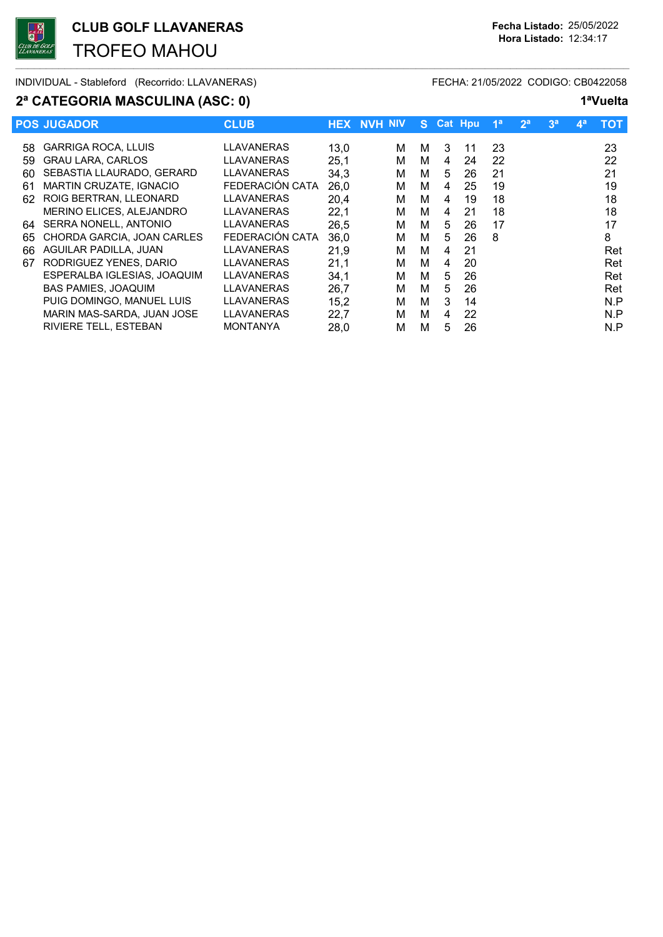TROFEO MAHOU

 $\overline{\phantom{a}}$  , and the set of the set of the set of the set of the set of the set of the set of the set of the set of the set of the set of the set of the set of the set of the set of the set of the set of the set of the s

## 2ª CATEGORIA MASCULINA (ASC: 0) 1<sup>a</sup>Vuelta

INDIVIDUAL - Stableford (Recorrido: LLAVANERAS) FECHA: 21/05/2022 CODIGO: CB0422058

|     | <b>POS JUGADOR</b>           | <b>CLUB</b>       |      | <b>HEX NVH NIV</b> | S. |   | <b>Cat Hpu</b> | 1 <sup>a</sup> | 2 <sup>a</sup> | 3 <sup>a</sup> | $\mathbf{4}^{\mathsf{a}}$ | тот |
|-----|------------------------------|-------------------|------|--------------------|----|---|----------------|----------------|----------------|----------------|---------------------------|-----|
| 58  | <b>GARRIGA ROCA, LLUIS</b>   | LLAVANERAS        | 13,0 | М                  | м  | 3 | 11             | 23             |                |                |                           | 23  |
| 59  | <b>GRAU LARA, CARLOS</b>     | <b>LLAVANERAS</b> | 25,1 | м                  | м  | 4 | 24             | 22             |                |                |                           | 22  |
| 60  | SEBASTIA LLAURADO, GERARD    | <b>LLAVANERAS</b> | 34,3 | М                  | м  | 5 | 26             | 21             |                |                |                           | 21  |
| 61  | MARTIN CRUZATE, IGNACIO      | FEDERACIÓN CATA   | 26,0 | м                  | м  | 4 | 25             | 19             |                |                |                           | 19  |
| 62. | ROIG BERTRAN, LLEONARD       | <b>LLAVANERAS</b> | 20,4 | м                  | M  | 4 | 19             | 18             |                |                |                           | 18  |
|     | MERINO ELICES, ALEJANDRO     | LLAVANERAS        | 22,1 | м                  | м  | 4 | 21             | 18             |                |                |                           | 18  |
| 64  | SERRA NONELL, ANTONIO        | LLAVANERAS        | 26.5 | м                  | м  | 5 | 26             | 17             |                |                |                           | 17  |
| 65  | CHORDA GARCIA, JOAN CARLES   | FEDERACIÓN CATA   | 36,0 | М                  | м  | 5 | 26             | 8              |                |                |                           | 8   |
| 66  | AGUILAR PADILLA, JUAN        | <b>LLAVANERAS</b> | 21,9 | м                  | м  | 4 | 21             |                |                |                |                           | Ret |
| 67  | RODRIGUEZ YENES, DARIO       | LLAVANERAS        | 21,1 | м                  | м  | 4 | 20             |                |                |                |                           | Ret |
|     | ESPERALBA IGLESIAS, JOAQUIM  | <b>LLAVANERAS</b> | 34,1 | М                  | м  | 5 | 26             |                |                |                |                           | Ret |
|     | <b>BAS PAMIES, JOAQUIM</b>   | LLAVANERAS        | 26,7 | м                  | м  | 5 | 26             |                |                |                |                           | Ret |
|     | PUIG DOMINGO, MANUEL LUIS    | LLAVANERAS        | 15,2 | м                  | м  | 3 | 14             |                |                |                |                           | N.P |
|     | MARIN MAS-SARDA, JUAN JOSE   | LLAVANERAS        | 22,7 | М                  | м  | 4 | 22             |                |                |                |                           | N.P |
|     | <b>RIVIERE TELL, ESTEBAN</b> | <b>MONTANYA</b>   | 28,0 | м                  | м  | 5 | 26             |                |                |                |                           | N.P |